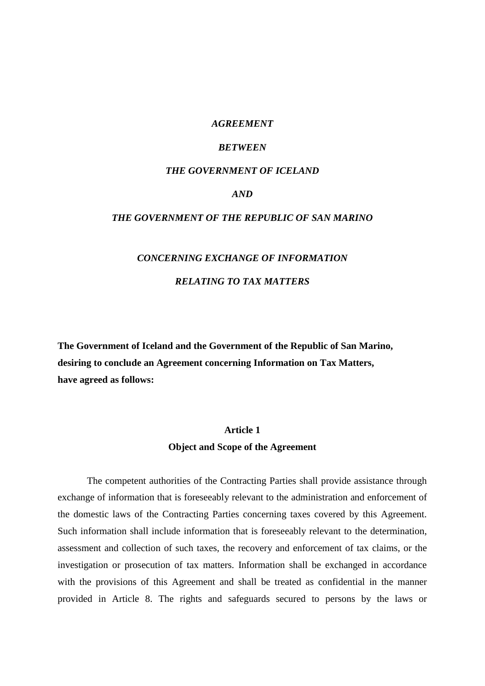#### *AGREEMENT*

#### *BETWEEN*

#### *THE GOVERNMENT OF ICELAND*

#### *AND*

#### *THE GOVERNMENT OF THE REPUBLIC OF SAN MARINO*

# *CONCERNING EXCHANGE OF INFORMATION RELATING TO TAX MATTERS*

**The Government of Iceland and the Government of the Republic of San Marino, desiring to conclude an Agreement concerning Information on Tax Matters, have agreed as follows:**

## **Article 1 Object and Scope of the Agreement**

The competent authorities of the Contracting Parties shall provide assistance through exchange of information that is foreseeably relevant to the administration and enforcement of the domestic laws of the Contracting Parties concerning taxes covered by this Agreement. Such information shall include information that is foreseeably relevant to the determination, assessment and collection of such taxes, the recovery and enforcement of tax claims, or the investigation or prosecution of tax matters. Information shall be exchanged in accordance with the provisions of this Agreement and shall be treated as confidential in the manner provided in Article 8. The rights and safeguards secured to persons by the laws or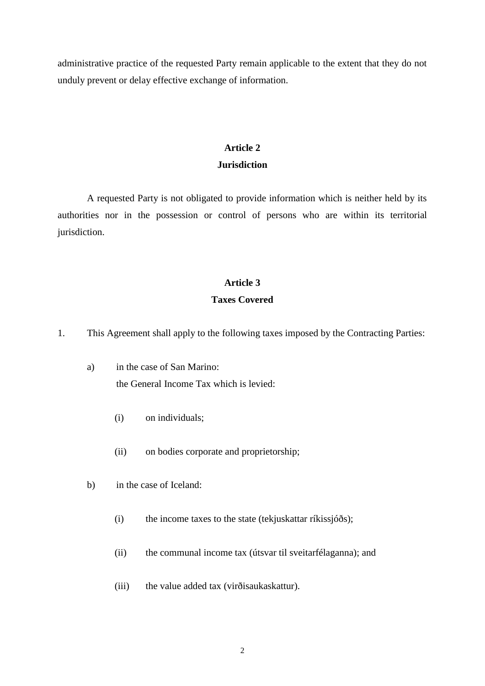administrative practice of the requested Party remain applicable to the extent that they do not unduly prevent or delay effective exchange of information.

# **Article 2**

### **Jurisdiction**

A requested Party is not obligated to provide information which is neither held by its authorities nor in the possession or control of persons who are within its territorial jurisdiction.

## **Article 3**

## **Taxes Covered**

- 1. This Agreement shall apply to the following taxes imposed by the Contracting Parties:
	- a) in the case of San Marino: the General Income Tax which is levied:
		- (i) on individuals;
		- (ii) on bodies corporate and proprietorship;
	- b) in the case of Iceland:
		- (i) the income taxes to the state (tekjuskattar ríkissjóðs);
		- (ii) the communal income tax (útsvar til sveitarfélaganna); and
		- (iii) the value added tax (virðisaukaskattur).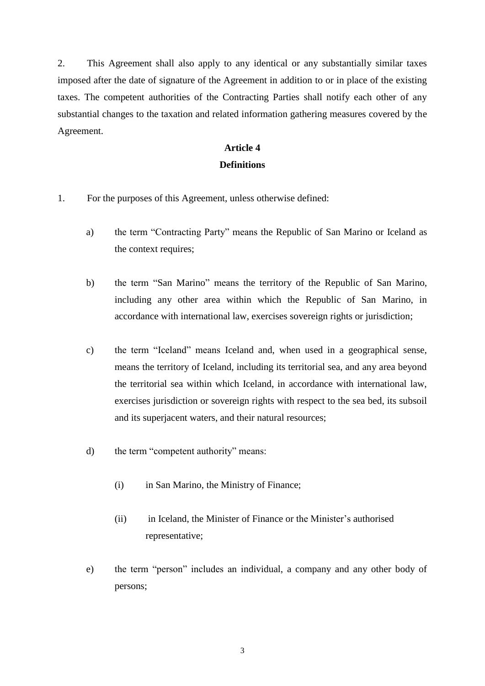2. This Agreement shall also apply to any identical or any substantially similar taxes imposed after the date of signature of the Agreement in addition to or in place of the existing taxes. The competent authorities of the Contracting Parties shall notify each other of any substantial changes to the taxation and related information gathering measures covered by the Agreement.

## **Article 4 Definitions**

- 1. For the purposes of this Agreement, unless otherwise defined:
	- a) the term "Contracting Party" means the Republic of San Marino or Iceland as the context requires;
	- b) the term "San Marino" means the territory of the Republic of San Marino, including any other area within which the Republic of San Marino, in accordance with international law, exercises sovereign rights or jurisdiction;
	- c) the term "Iceland" means Iceland and, when used in a geographical sense, means the territory of Iceland, including its territorial sea, and any area beyond the territorial sea within which Iceland, in accordance with international law, exercises jurisdiction or sovereign rights with respect to the sea bed, its subsoil and its superjacent waters, and their natural resources;
	- d) the term "competent authority" means:
		- (i) in San Marino, the Ministry of Finance;
		- (ii) in Iceland, the Minister of Finance or the Minister's authorised representative;
	- e) the term "person" includes an individual, a company and any other body of persons;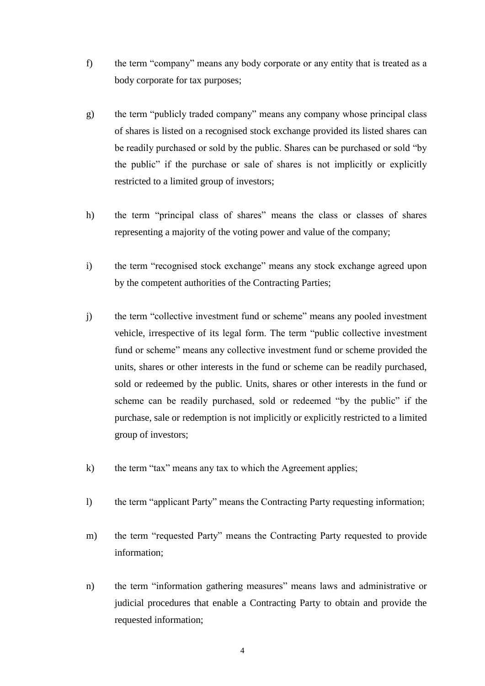- f) the term "company" means any body corporate or any entity that is treated as a body corporate for tax purposes;
- g) the term "publicly traded company" means any company whose principal class of shares is listed on a recognised stock exchange provided its listed shares can be readily purchased or sold by the public. Shares can be purchased or sold "by the public" if the purchase or sale of shares is not implicitly or explicitly restricted to a limited group of investors;
- h) the term "principal class of shares" means the class or classes of shares representing a majority of the voting power and value of the company;
- i) the term "recognised stock exchange" means any stock exchange agreed upon by the competent authorities of the Contracting Parties;
- j) the term "collective investment fund or scheme" means any pooled investment vehicle, irrespective of its legal form. The term "public collective investment fund or scheme" means any collective investment fund or scheme provided the units, shares or other interests in the fund or scheme can be readily purchased, sold or redeemed by the public. Units, shares or other interests in the fund or scheme can be readily purchased, sold or redeemed "by the public" if the purchase, sale or redemption is not implicitly or explicitly restricted to a limited group of investors;
- k) the term "tax" means any tax to which the Agreement applies;
- l) the term "applicant Party" means the Contracting Party requesting information;
- m) the term "requested Party" means the Contracting Party requested to provide information;
- n) the term "information gathering measures" means laws and administrative or judicial procedures that enable a Contracting Party to obtain and provide the requested information;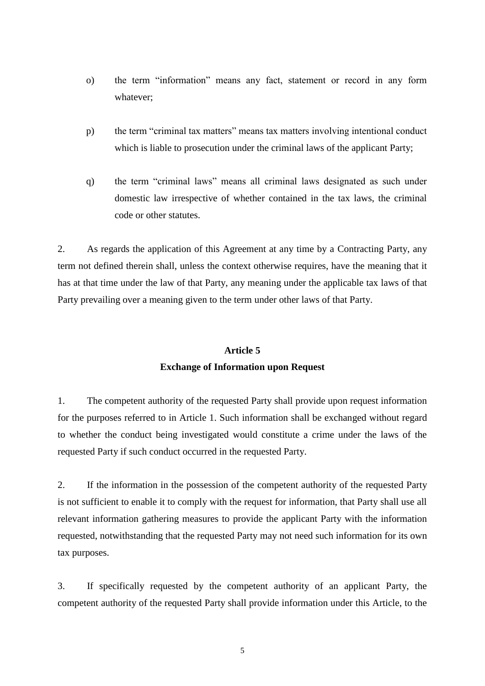- o) the term "information" means any fact, statement or record in any form whatever;
- p) the term "criminal tax matters" means tax matters involving intentional conduct which is liable to prosecution under the criminal laws of the applicant Party;
- q) the term "criminal laws" means all criminal laws designated as such under domestic law irrespective of whether contained in the tax laws, the criminal code or other statutes.

2. As regards the application of this Agreement at any time by a Contracting Party, any term not defined therein shall, unless the context otherwise requires, have the meaning that it has at that time under the law of that Party, any meaning under the applicable tax laws of that Party prevailing over a meaning given to the term under other laws of that Party.

# **Article 5 Exchange of Information upon Request**

1. The competent authority of the requested Party shall provide upon request information for the purposes referred to in Article 1. Such information shall be exchanged without regard to whether the conduct being investigated would constitute a crime under the laws of the requested Party if such conduct occurred in the requested Party.

2. If the information in the possession of the competent authority of the requested Party is not sufficient to enable it to comply with the request for information, that Party shall use all relevant information gathering measures to provide the applicant Party with the information requested, notwithstanding that the requested Party may not need such information for its own tax purposes.

3. If specifically requested by the competent authority of an applicant Party, the competent authority of the requested Party shall provide information under this Article, to the

5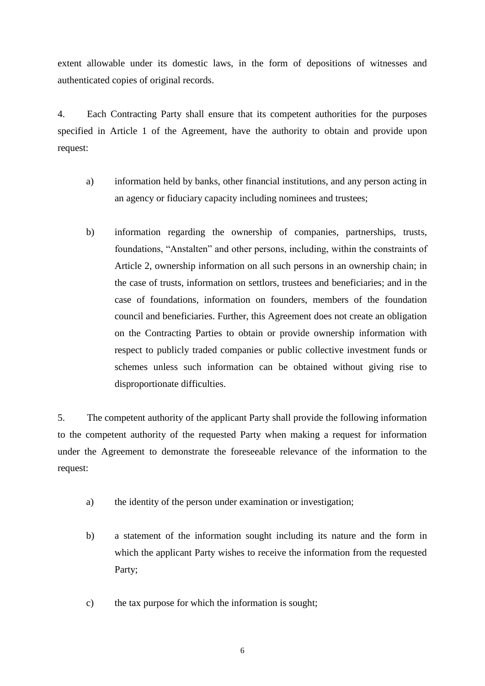extent allowable under its domestic laws, in the form of depositions of witnesses and authenticated copies of original records.

4. Each Contracting Party shall ensure that its competent authorities for the purposes specified in Article 1 of the Agreement, have the authority to obtain and provide upon request:

- a) information held by banks, other financial institutions, and any person acting in an agency or fiduciary capacity including nominees and trustees;
- b) information regarding the ownership of companies, partnerships, trusts, foundations, "Anstalten" and other persons, including, within the constraints of Article 2, ownership information on all such persons in an ownership chain; in the case of trusts, information on settlors, trustees and beneficiaries; and in the case of foundations, information on founders, members of the foundation council and beneficiaries. Further, this Agreement does not create an obligation on the Contracting Parties to obtain or provide ownership information with respect to publicly traded companies or public collective investment funds or schemes unless such information can be obtained without giving rise to disproportionate difficulties.

5. The competent authority of the applicant Party shall provide the following information to the competent authority of the requested Party when making a request for information under the Agreement to demonstrate the foreseeable relevance of the information to the request:

- a) the identity of the person under examination or investigation;
- b) a statement of the information sought including its nature and the form in which the applicant Party wishes to receive the information from the requested Party;
- c) the tax purpose for which the information is sought;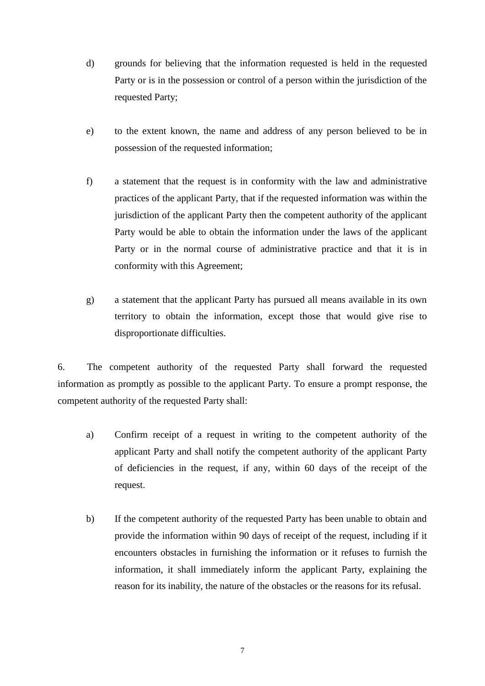- d) grounds for believing that the information requested is held in the requested Party or is in the possession or control of a person within the jurisdiction of the requested Party;
- e) to the extent known, the name and address of any person believed to be in possession of the requested information;
- f) a statement that the request is in conformity with the law and administrative practices of the applicant Party, that if the requested information was within the jurisdiction of the applicant Party then the competent authority of the applicant Party would be able to obtain the information under the laws of the applicant Party or in the normal course of administrative practice and that it is in conformity with this Agreement;
- g) a statement that the applicant Party has pursued all means available in its own territory to obtain the information, except those that would give rise to disproportionate difficulties.

6. The competent authority of the requested Party shall forward the requested information as promptly as possible to the applicant Party. To ensure a prompt response, the competent authority of the requested Party shall:

- a) Confirm receipt of a request in writing to the competent authority of the applicant Party and shall notify the competent authority of the applicant Party of deficiencies in the request, if any, within 60 days of the receipt of the request.
- b) If the competent authority of the requested Party has been unable to obtain and provide the information within 90 days of receipt of the request, including if it encounters obstacles in furnishing the information or it refuses to furnish the information, it shall immediately inform the applicant Party, explaining the reason for its inability, the nature of the obstacles or the reasons for its refusal.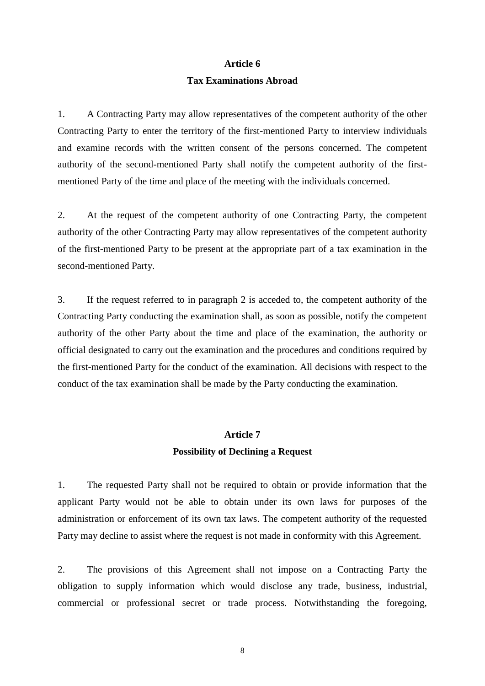#### **Article 6**

#### **Tax Examinations Abroad**

1. A Contracting Party may allow representatives of the competent authority of the other Contracting Party to enter the territory of the first-mentioned Party to interview individuals and examine records with the written consent of the persons concerned. The competent authority of the second-mentioned Party shall notify the competent authority of the firstmentioned Party of the time and place of the meeting with the individuals concerned.

2. At the request of the competent authority of one Contracting Party, the competent authority of the other Contracting Party may allow representatives of the competent authority of the first-mentioned Party to be present at the appropriate part of a tax examination in the second-mentioned Party.

3. If the request referred to in paragraph 2 is acceded to, the competent authority of the Contracting Party conducting the examination shall, as soon as possible, notify the competent authority of the other Party about the time and place of the examination, the authority or official designated to carry out the examination and the procedures and conditions required by the first-mentioned Party for the conduct of the examination. All decisions with respect to the conduct of the tax examination shall be made by the Party conducting the examination.

## **Article 7 Possibility of Declining a Request**

1. The requested Party shall not be required to obtain or provide information that the applicant Party would not be able to obtain under its own laws for purposes of the administration or enforcement of its own tax laws. The competent authority of the requested Party may decline to assist where the request is not made in conformity with this Agreement.

2. The provisions of this Agreement shall not impose on a Contracting Party the obligation to supply information which would disclose any trade, business, industrial, commercial or professional secret or trade process. Notwithstanding the foregoing,

8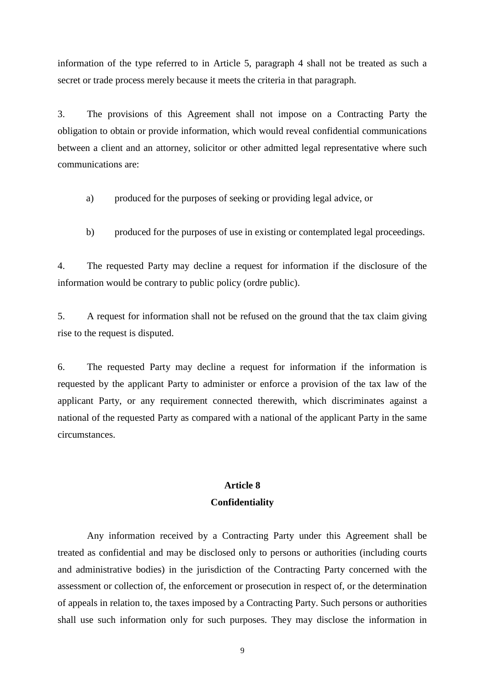information of the type referred to in Article 5, paragraph 4 shall not be treated as such a secret or trade process merely because it meets the criteria in that paragraph.

3. The provisions of this Agreement shall not impose on a Contracting Party the obligation to obtain or provide information, which would reveal confidential communications between a client and an attorney, solicitor or other admitted legal representative where such communications are:

a) produced for the purposes of seeking or providing legal advice, or

b) produced for the purposes of use in existing or contemplated legal proceedings.

4. The requested Party may decline a request for information if the disclosure of the information would be contrary to public policy (ordre public).

5. A request for information shall not be refused on the ground that the tax claim giving rise to the request is disputed.

6. The requested Party may decline a request for information if the information is requested by the applicant Party to administer or enforce a provision of the tax law of the applicant Party, or any requirement connected therewith, which discriminates against a national of the requested Party as compared with a national of the applicant Party in the same circumstances.

## **Article 8 Confidentiality**

Any information received by a Contracting Party under this Agreement shall be treated as confidential and may be disclosed only to persons or authorities (including courts and administrative bodies) in the jurisdiction of the Contracting Party concerned with the assessment or collection of, the enforcement or prosecution in respect of, or the determination of appeals in relation to, the taxes imposed by a Contracting Party. Such persons or authorities shall use such information only for such purposes. They may disclose the information in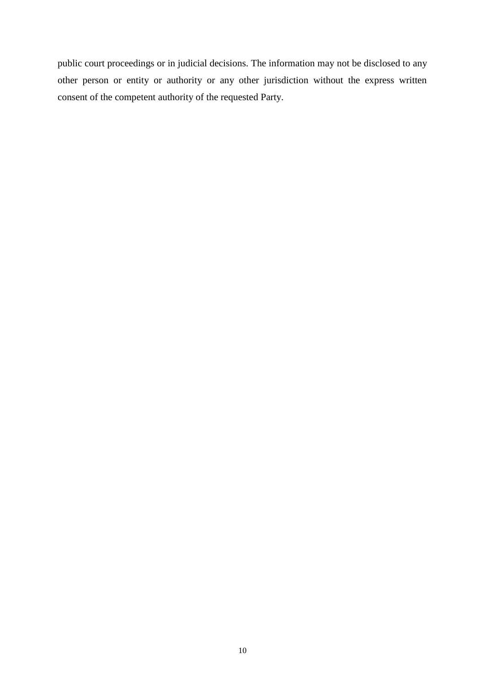public court proceedings or in judicial decisions. The information may not be disclosed to any other person or entity or authority or any other jurisdiction without the express written consent of the competent authority of the requested Party.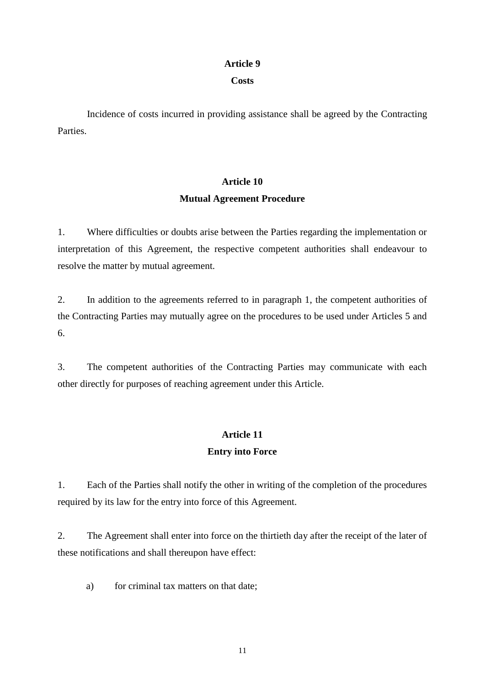# **Article 9**

#### **Costs**

Incidence of costs incurred in providing assistance shall be agreed by the Contracting Parties.

### **Article 10**

### **Mutual Agreement Procedure**

1. Where difficulties or doubts arise between the Parties regarding the implementation or interpretation of this Agreement, the respective competent authorities shall endeavour to resolve the matter by mutual agreement.

2. In addition to the agreements referred to in paragraph 1, the competent authorities of the Contracting Parties may mutually agree on the procedures to be used under Articles 5 and 6.

3. The competent authorities of the Contracting Parties may communicate with each other directly for purposes of reaching agreement under this Article.

# **Article 11**

## **Entry into Force**

1. Each of the Parties shall notify the other in writing of the completion of the procedures required by its law for the entry into force of this Agreement.

2. The Agreement shall enter into force on the thirtieth day after the receipt of the later of these notifications and shall thereupon have effect:

a) for criminal tax matters on that date;